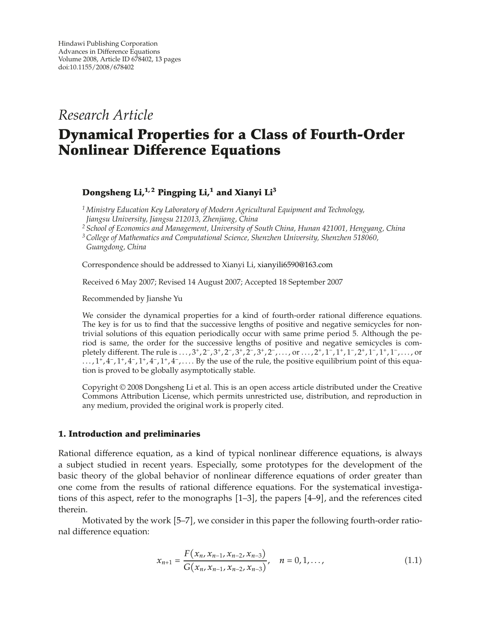*Research Article*

# **Dynamical Properties for a Class of Fourth-Order Nonlinear Difference Equations**

# **Dongsheng Li,1, 2 Pingping Li,1 and Xianyi Li3**

*<sup>1</sup> Ministry Education Key Laboratory of Modern Agricultural Equipment and Technology, Jiangsu University, Jiangsu 212013, Zhenjiang, China*

*<sup>2</sup> School of Economics and Management, University of South China, Hunan 421001, Hengyang, China*

*3College of Mathematics and Computational Science, Shenzhen University, Shenzhen 518060, Guangdong, China*

Correspondence should be addressed to Xianyi Li, xianyili6590@163.com

Received 6 May 2007; Revised 14 August 2007; Accepted 18 September 2007

Recommended by Jianshe Yu

We consider the dynamical properties for a kind of fourth-order rational difference equations. The key is for us to find that the successive lengths of positive and negative semicycles for nontrivial solutions of this equation periodically occur with same prime period 5. Although the period is same, the order for the successive lengths of positive and negative semicycles is completely different. The rule is ...,  $3^+, 2^-, 3^+, 2^-, 3^+, 2^-, 3^+, 2^-, \ldots$ , or  $\ldots$ ,  $2^+, 1^-, 1^+, 1^-, 2^+, 1^-, 1^+, 1^-, \ldots$ , or *...,* 1*,* 4−*,* 1*,* 4−*,* 1*,* 4−*,* 1*,* 4−*,...* . By the use of the rule, the positive equilibrium point of this equation is proved to be globally asymptotically stable.

Copyright  $©$  2008 Dongsheng Li et al. This is an open access article distributed under the Creative Commons Attribution License, which permits unrestricted use, distribution, and reproduction in any medium, provided the original work is properly cited.

# **1. Introduction and preliminaries**

Rational difference equation, as a kind of typical nonlinear difference equations, is always a subject studied in recent years. Especially, some prototypes for the development of the basic theory of the global behavior of nonlinear difference equations of order greater than one come from the results of rational difference equations. For the systematical investigations of this aspect, refer to the monographs  $[1-3]$ , the papers  $[4-9]$ , and the references cited therein.

Motivated by the work [5–7], we consider in this paper the following fourth-order rational difference equation:

$$
x_{n+1} = \frac{F(x_n, x_{n-1}, x_{n-2}, x_{n-3})}{G(x_n, x_{n-1}, x_{n-2}, x_{n-3})}, \quad n = 0, 1, ..., \tag{1.1}
$$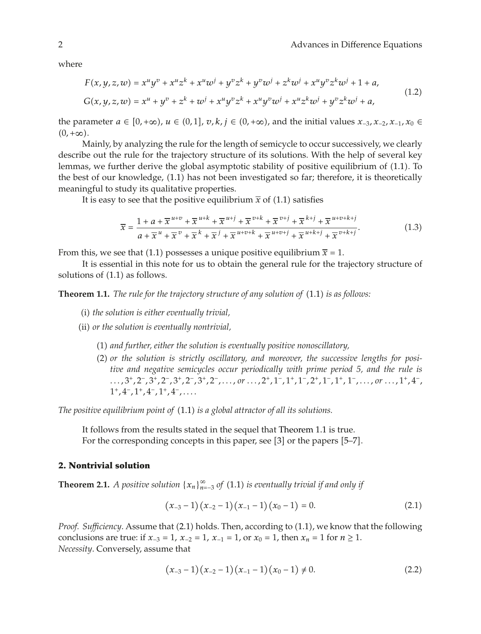where

$$
F(x, y, z, w) = x^{u}y^{v} + x^{u}z^{k} + x^{u}w^{j} + y^{v}z^{k} + y^{v}w^{j} + z^{k}w^{j} + x^{u}y^{v}z^{k}w^{j} + 1 + a,
$$
  
\n
$$
G(x, y, z, w) = x^{u} + y^{v} + z^{k} + w^{j} + x^{u}y^{v}z^{k} + x^{u}y^{v}w^{j} + x^{u}z^{k}w^{j} + y^{v}z^{k}w^{j} + a,
$$
\n(1.2)

the parameter  $a \in [0, +\infty)$ ,  $u \in (0, 1]$ ,  $v, k, j \in (0, +\infty)$ , and the initial values  $x_{-3}, x_{-2}, x_{-1}, x_0 \in$  $(0, +\infty)$ .

Mainly, by analyzing the rule for the length of semicycle to occur successively, we clearly describe out the rule for the trajectory structure of its solutions. With the help of several key lemmas, we further derive the global asymptotic stability of positive equilibrium of  $(1.1)$ . To the best of our knowledge, (1.1) has not been investigated so far; therefore, it is theoretically meaningful to study its qualitative properties.

It is easy to see that the positive equilibrium  $\bar{x}$  of (1.1) satisfies

$$
\overline{x} = \frac{1 + a + \overline{x}^{u+v} + \overline{x}^{u+k} + \overline{x}^{u+j} + \overline{x}^{v+k} + \overline{x}^{v+j} + \overline{x}^{k+j} + \overline{x}^{u+v+k+j}}{a + \overline{x}^u + \overline{x}^v + \overline{x}^j + \overline{x}^{u+v+k} + \overline{x}^{u+v+j} + \overline{x}^{u+k+j} + \overline{x}^{v+k+j}}.
$$
(1.3)

From this, we see that (1.1) possesses a unique positive equilibrium  $\bar{x} = 1$ .

It is essential in this note for us to obtain the general rule for the trajectory structure of solutions of  $(1.1)$  as follows.

**Theorem 1.1.** *The rule for the trajectory structure of any solution of* (1.1) *is as follows:* 

- i *the solution is either eventually trivial,*
- ii *or the solution is eventually nontrivial,*
	- 1 *and further, either the solution is eventually positive nonoscillatory,*
	- 2 *or the solution is strictly oscillatory, and moreover, the successive lengths for positive and negative semicycles occur periodically with prime period 5, and the rule is* ...,  $3^+, 2^-, 3^+, 2^-, 3^+, 2^-, 3^+, 2^-, \ldots, or \ldots, 2^+, 1^-, 1^+, 1^-, 2^+, 1^-, 1^+, 1^-, \ldots, or \ldots, 1^+, 4^-,$ 1*,* 4−*,* 1*,* 4−*,* 1*,* 4−*,....*

*The positive equilibrium point of* 1.1 *is a global attractor of all its solutions.*

It follows from the results stated in the sequel that Theorem 1.1 is true. For the corresponding concepts in this paper, see [3] or the papers [5–7].

#### **2. Nontrivial solution**

**Theorem 2.1.** *A positive solution*  $\{x_n\}_{n=-3}^{\infty}$  *of*  $(1.1)$  *is eventually trivial if and only if* 

$$
(x_{-3}-1)(x_{-2}-1)(x_{-1}-1)(x_0-1)=0.
$$
 (2.1)

*Proof. Sufficiency*. Assume that (2.1) holds. Then, according to (1.1), we know that the following conclusions are true: if *x*<sub>−3</sub> = 1*, x*<sub>−2</sub> = 1*, x*<sub>−1</sub> = 1*,* or *x*<sub>0</sub> = 1*,* then *x<sub>n</sub>* = 1 for *n* ≥ 1*. Necessity*. Conversely, assume that

$$
(x_{-3}-1)(x_{-2}-1)(x_{-1}-1)(x_0-1) \neq 0. \tag{2.2}
$$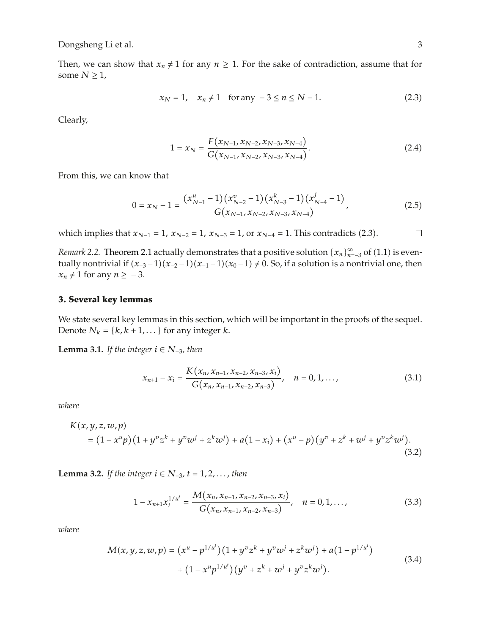Then, we can show that  $x_n \neq 1$  for any  $n \geq 1$ . For the sake of contradiction, assume that for some  $N \geq 1$ ,

$$
x_N = 1, \quad x_n \neq 1 \quad \text{for any } -3 \leq n \leq N - 1.
$$
 (2.3)

Clearly,

$$
1 = x_N = \frac{F(x_{N-1}, x_{N-2}, x_{N-3}, x_{N-4})}{G(x_{N-1}, x_{N-2}, x_{N-3}, x_{N-4})}.
$$
 (2.4)

From this, we can know that

$$
0 = x_N - 1 = \frac{(x_{N-1}^u - 1)(x_{N-2}^v - 1)(x_{N-3}^k - 1)(x_{N-4}^j - 1)}{G(x_{N-1}, x_{N-2}, x_{N-3}, x_{N-4})},
$$
(2.5)

which implies that  $x_{N-1} = 1$ ,  $x_{N-2} = 1$ ,  $x_{N-3} = 1$ , or  $x_{N-4} = 1$ . This contradicts (2.3).  $\Box$ 

*Remark 2.2.* Theorem 2.1 actually demonstrates that a positive solution  $\{x_n\}_{n=3}^{\infty}$  of (1.1) is eventually nontrivial if  $(x_{-3}-1)(x_{-2}-1)(x_{-1}-1)(x_0-1) \neq 0$ . So, if a solution is a nontrivial one, then  $x_n \neq 1$  for any  $n \geq -3$ .

## **3. Several key lemmas**

We state several key lemmas in this section, which will be important in the proofs of the sequel. Denote  $N_k = \{k, k+1, \ldots\}$  for any integer *k*.

**Lemma 3.1.** *If the integer*  $i$  ∈  $N_{-3}$ *, then* 

$$
x_{n+1} - x_i = \frac{K(x_n, x_{n-1}, x_{n-2}, x_{n-3}, x_i)}{G(x_n, x_{n-1}, x_{n-2}, x_{n-3})}, \quad n = 0, 1, ..., \tag{3.1}
$$

*where*

$$
K(x, y, z, w, p)
$$
  
=  $(1 - x^u p)(1 + y^v z^k + y^v w^j + z^k w^j) + a(1 - x_i) + (x^u - p)(y^v + z^k + w^j + y^v z^k w^j).$  (3.2)

**Lemma 3.2.** *If the integer*  $i$  ∈  $N_{-3}$ *, t* = 1*,* 2*,..., then* 

$$
1 - x_{n+1} x_i^{1/u^t} = \frac{M(x_n, x_{n-1}, x_{n-2}, x_{n-3}, x_i)}{G(x_n, x_{n-1}, x_{n-2}, x_{n-3})}, \quad n = 0, 1, ..., \tag{3.3}
$$

$$
M(x, y, z, w, p) = (x^u - p^{1/u^t})(1 + y^v z^k + y^v w^j + z^k w^j) + a(1 - p^{1/u^t})
$$
  
+ 
$$
(1 - x^u p^{1/u^t})(y^v + z^k + w^j + y^v z^k w^j).
$$
 (3.4)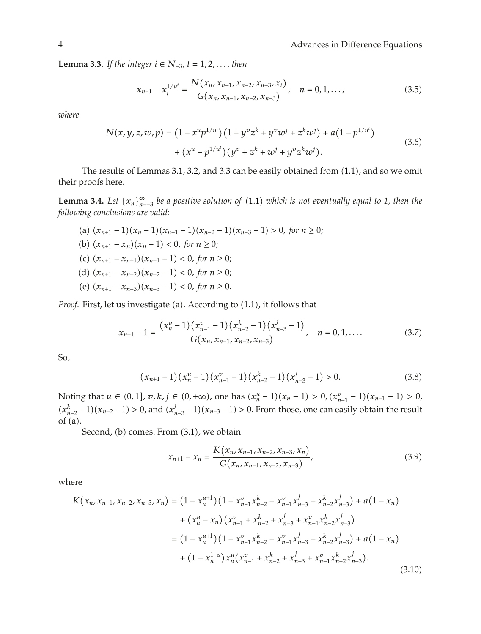**Lemma 3.3.** *If the integer*  $i$  ∈  $N_{-3}$ *, t* = 1*,* 2*,..., then* 

$$
x_{n+1} - x_i^{1/u^t} = \frac{N(x_n, x_{n-1}, x_{n-2}, x_{n-3}, x_i)}{G(x_n, x_{n-1}, x_{n-2}, x_{n-3})}, \quad n = 0, 1, ..., \tag{3.5}
$$

*where*

$$
N(x, y, z, w, p) = (1 - x^u p^{1/u^t}) (1 + y^v z^k + y^v w^j + z^k w^j) + a (1 - p^{1/u^t})
$$
  
+ 
$$
(x^u - p^{1/u^t}) (y^v + z^k + w^j + y^v z^k w^j).
$$
 (3.6)

The results of Lemmas 3.1, 3.2, and 3.3 can be easily obtained from (1.1), and so we omit their proofs here.

**Lemma 3.4.** *Let*  $\{x_n\}_{n=-3}^{\infty}$  *be a positive solution of*  $(1.1)$  *which is not eventually equal to 1, then the following conclusions are valid:*

(a)  $(x_{n+1} - 1)(x_n - 1)(x_{n-1} - 1)(x_{n-2} - 1)(x_{n-3} - 1) > 0$ , for  $n \ge 0$ ; (b)  $(x_{n+1} - x_n)(x_n - 1) < 0$ , for *n* ≥ 0; (c)  $(x_{n+1} - x_{n-1})(x_{n-1} - 1) < 0$ , for  $n \ge 0$ ; (d)  $(x_{n+1} - x_{n-2})(x_{n-2} - 1) < 0$ , for *n* ≥ 0; (e)  $(x_{n+1} - x_{n-3})(x_{n-3} - 1) < 0$ , for  $n ≥ 0$ .

*Proof.* First, let us investigate (a). According to (1.1), it follows that

$$
x_{n+1} - 1 = \frac{(x_n^u - 1)(x_{n-1}^v - 1)(x_{n-2}^k - 1)(x_{n-3}^j - 1)}{G(x_n, x_{n-1}, x_{n-2}, x_{n-3})}, \quad n = 0, 1, .... \tag{3.7}
$$

So,

$$
(x_{n+1}-1)(x_n^u-1)(x_{n-1}^v-1)(x_{n-2}^k-1)(x_{n-3}^j-1)>0.
$$
 (3.8)

Noting that *u* ∈ (0, 1], *v*, *k*, *j* ∈ (0, +∞), one has  $(x_n^u - 1)(x_n - 1) > 0$ ,  $(x_{n-1}^v - 1)(x_{n-1} - 1) > 0$ ,  $(x_{n-2}^k - 1)(x_{n-2} - 1) > 0$ , and  $(x_{n-3}^j - 1)(x_{n-3} - 1) > 0$ . From those, one can easily obtain the result of  $(a)$ .

Second, (b) comes. From  $(3.1)$ , we obtain

$$
x_{n+1} - x_n = \frac{K(x_n, x_{n-1}, x_{n-2}, x_{n-3}, x_n)}{G(x_n, x_{n-1}, x_{n-2}, x_{n-3})},
$$
(3.9)

$$
K(x_n, x_{n-1}, x_{n-2}, x_{n-3}, x_n) = (1 - x_n^{u+1})(1 + x_{n-1}^v x_{n-2}^k + x_{n-1}^v x_{n-3}^j + x_{n-2}^k x_{n-3}^j) + a(1 - x_n)
$$
  
+ 
$$
(x_n^u - x_n)(x_{n-1}^v + x_{n-2}^k + x_{n-3}^j + x_{n-1}^v x_{n-2}^k x_{n-3}^j)
$$
  
= 
$$
(1 - x_n^{u+1})(1 + x_{n-1}^v x_{n-2}^k + x_{n-1}^v x_{n-3}^j + x_{n-2}^k x_{n-3}^j) + a(1 - x_n)
$$
  
+ 
$$
(1 - x_n^{1-u})x_n^u(x_{n-1}^v + x_{n-2}^k + x_{n-3}^j + x_{n-1}^v x_{n-2}^k x_{n-3}^j).
$$
 (3.10)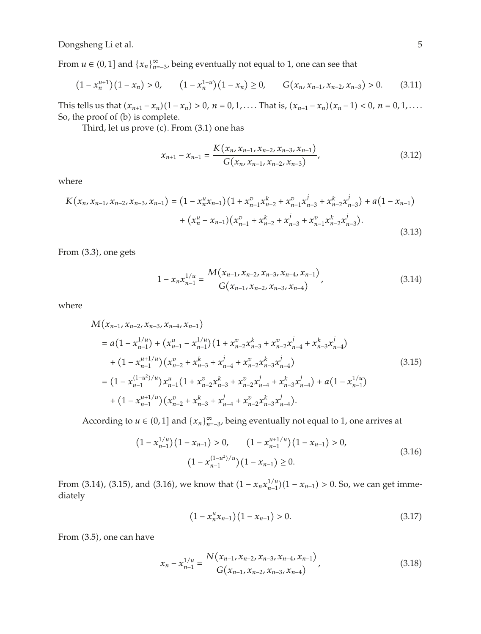From  $u \in (0,1]$  and  $\{x_n\}_{n=-3}^{\infty}$ , being eventually not equal to 1, one can see that

$$
(1 - x_n^{u+1})(1 - x_n) > 0, \qquad (1 - x_n^{1-u})(1 - x_n) \ge 0, \qquad G(x_n, x_{n-1}, x_{n-2}, x_{n-3}) > 0. \tag{3.11}
$$

This tells us that  $(x_{n+1} - x_n)(1 - x_n) > 0$ ,  $n = 0, 1, \ldots$  That is,  $(x_{n+1} - x_n)(x_n - 1) < 0$ ,  $n = 0, 1, \ldots$ So, the proof of (b) is complete.

Third, let us prove  $(c)$ . From  $(3.1)$  one has

$$
x_{n+1} - x_{n-1} = \frac{K(x_n, x_{n-1}, x_{n-2}, x_{n-3}, x_{n-1})}{G(x_n, x_{n-1}, x_{n-2}, x_{n-3})},
$$
\n(3.12)

where

$$
K(x_n, x_{n-1}, x_{n-2}, x_{n-3}, x_{n-1}) = (1 - x_n^u x_{n-1})(1 + x_{n-1}^v x_{n-2}^k + x_{n-1}^v x_{n-3}^j + x_{n-2}^k x_{n-3}^j) + a(1 - x_{n-1})
$$
  
+ 
$$
(x_n^u - x_{n-1})(x_{n-1}^v + x_{n-2}^k + x_{n-3}^j + x_{n-1}^v x_{n-2}^k x_{n-3}^j).
$$
(3.13)

From  $(3.3)$ , one gets

$$
1 - x_n x_{n-1}^{1/u} = \frac{M(x_{n-1}, x_{n-2}, x_{n-3}, x_{n-4}, x_{n-1})}{G(x_{n-1}, x_{n-2}, x_{n-3}, x_{n-4})},
$$
(3.14)

where

$$
M(x_{n-1}, x_{n-2}, x_{n-3}, x_{n-4}, x_{n-1})
$$
\n
$$
= a(1 - x_{n-1}^{1/u}) + (x_{n-1}^{u} - x_{n-1}^{1/u})(1 + x_{n-2}^{v}x_{n-3}^{k} + x_{n-2}^{v}x_{n-4}^{j} + x_{n-3}^{k}x_{n-4}^{j})
$$
\n
$$
+ (1 - x_{n-1}^{u+1/u})(x_{n-2}^{v} + x_{n-3}^{k} + x_{n-4}^{j} + x_{n-2}^{v}x_{n-3}^{k}x_{n-4}^{j})
$$
\n
$$
= (1 - x_{n-1}^{(1-u^2)/u})x_{n-1}^{u}(1 + x_{n-2}^{v}x_{n-3}^{k} + x_{n-2}^{v}x_{n-4}^{j} + x_{n-3}^{k}x_{n-4}^{j}) + a(1 - x_{n-1}^{1/u})
$$
\n
$$
+ (1 - x_{n-1}^{u+1/u})(x_{n-2}^{v} + x_{n-3}^{k} + x_{n-4}^{j} + x_{n-2}^{v}x_{n-3}^{k}x_{n-4}^{j}).
$$
\n(3.15)

According to  $u \in (0,1]$  and  $\{x_n\}_{n=-3}^{\infty}$ , being eventually not equal to 1, one arrives at

$$
(1 - x_{n-1}^{1/u})(1 - x_{n-1}) > 0, \qquad (1 - x_{n-1}^{u+1/u})(1 - x_{n-1}) > 0,
$$
  

$$
(1 - x_{n-1}^{(1-u^2)/u})(1 - x_{n-1}) \ge 0.
$$
 (3.16)

From (3.14), (3.15), and (3.16), we know that  $(1 - x_n x_{n-1}^{1/u})(1 - x_{n-1}) > 0$ . So, we can get immediately

$$
(1 - x_n^u x_{n-1})(1 - x_{n-1}) > 0.
$$
\n(3.17)

From  $(3.5)$ , one can have

$$
x_n - x_{n-1}^{1/u} = \frac{N(x_{n-1}, x_{n-2}, x_{n-3}, x_{n-4}, x_{n-1})}{G(x_{n-1}, x_{n-2}, x_{n-3}, x_{n-4})},
$$
(3.18)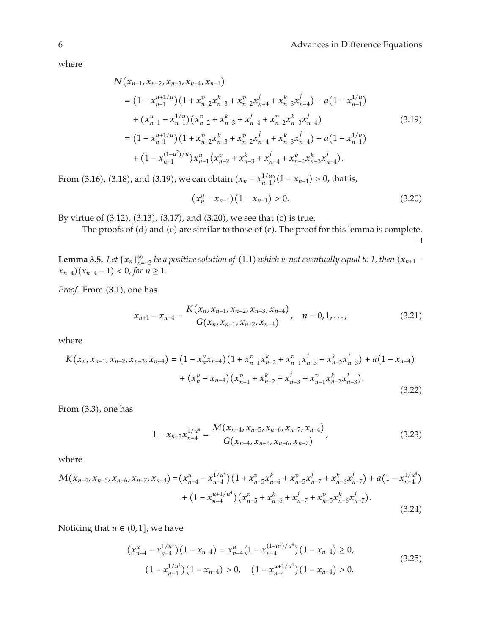where

$$
N(x_{n-1}, x_{n-2}, x_{n-3}, x_{n-4}, x_{n-1})
$$
\n
$$
= (1 - x_{n-1}^{u+1/u})(1 + x_{n-2}^v x_{n-3}^k + x_{n-2}^v x_{n-4}^j + x_{n-3}^k x_{n-4}^j) + a(1 - x_{n-1}^{1/u})
$$
\n
$$
+ (x_{n-1}^u - x_{n-1}^{1/u})(x_{n-2}^v + x_{n-3}^k + x_{n-4}^v + x_{n-2}^v x_{n-3}^k x_{n-4}^j)
$$
\n
$$
= (1 - x_{n-1}^{u+1/u})(1 + x_{n-2}^v x_{n-3}^k + x_{n-2}^v x_{n-4}^j + x_{n-3}^k x_{n-4}^j) + a(1 - x_{n-1}^{1/u})
$$
\n
$$
+ (1 - x_{n-1}^{(1-u^2)/u})x_{n-1}^u (x_{n-2}^v + x_{n-3}^k + x_{n-4}^v + x_{n-2}^v x_{n-3}^k x_{n-4}^j).
$$
\n(3.19)

From (3.16), (3.18), and (3.19), we can obtain  $(x_n - x_{n-1}^{1/u})(1 - x_{n-1}) > 0$ , that is,

$$
(x_n^u - x_{n-1})(1 - x_{n-1}) > 0.
$$
\n(3.20)

By virtue of  $(3.12)$ ,  $(3.13)$ ,  $(3.17)$ , and  $(3.20)$ , we see that  $(c)$  is true.

The proofs of  $(d)$  and  $(e)$  are similar to those of  $(c)$ . The proof for this lemma is complete.  $\Box$ 

**Lemma 3.5.** *Let*  $\{x_n\}_{n=3}^{\infty}$  *be a positive solution of* (1.1) *which is not eventually equal to 1, then*  $(x_{n+1}$ *x*<sub>*n*−4</sub> $)(x_{n-4} - 1) < 0$ , *for*  $n ≥ 1$ .

Proof. From  $(3.1)$ , one has

$$
x_{n+1} - x_{n-4} = \frac{K(x_n, x_{n-1}, x_{n-2}, x_{n-3}, x_{n-4})}{G(x_n, x_{n-1}, x_{n-2}, x_{n-3})}, \quad n = 0, 1, ..., \tag{3.21}
$$

where

$$
K(x_n, x_{n-1}, x_{n-2}, x_{n-3}, x_{n-4}) = (1 - x_n^u x_{n-4})(1 + x_{n-1}^v x_{n-2}^k + x_{n-1}^v x_{n-3}^j + x_{n-2}^k x_{n-3}^j) + a(1 - x_{n-4})
$$
  
+ 
$$
(x_n^u - x_{n-4})(x_{n-1}^v + x_{n-2}^k + x_{n-3}^j + x_{n-1}^v x_{n-2}^k x_{n-3}^j).
$$
(3.22)

From  $(3.3)$ , one has

$$
1 - x_{n-3} x_{n-4}^{1/u^4} = \frac{M(x_{n-4}, x_{n-5}, x_{n-6}, x_{n-7}, x_{n-4})}{G(x_{n-4}, x_{n-5}, x_{n-6}, x_{n-7})},
$$
(3.23)

where

$$
M(x_{n-4}, x_{n-5}, x_{n-6}, x_{n-7}, x_{n-4}) = (x_{n-4}^{u} - x_{n-4}^{1/u^4})(1 + x_{n-5}^{v} x_{n-6}^k + x_{n-5}^{v} x_{n-7}^j + x_{n-6}^k x_{n-7}^j) + a(1 - x_{n-4}^{1/u^4}) + (1 - x_{n-4}^{u+1/u^4})(x_{n-5}^{v} + x_{n-6}^k + x_{n-7}^j + x_{n-5}^{v} x_{n-6}^k x_{n-7}^j).
$$
\n(3.24)

Noticing that  $u \in (0,1]$ , we have

$$
\left(x_{n-4}^u - x_{n-4}^{1/u^4}\right)\left(1 - x_{n-4}\right) = x_{n-4}^u \left(1 - x_{n-4}^{(1-u^5)/u^4}\right)\left(1 - x_{n-4}\right) \ge 0,
$$
\n
$$
\left(1 - x_{n-4}^{1/u^4}\right)\left(1 - x_{n-4}\right) > 0, \quad \left(1 - x_{n-4}^{u+1/u^4}\right)\left(1 - x_{n-4}\right) > 0. \tag{3.25}
$$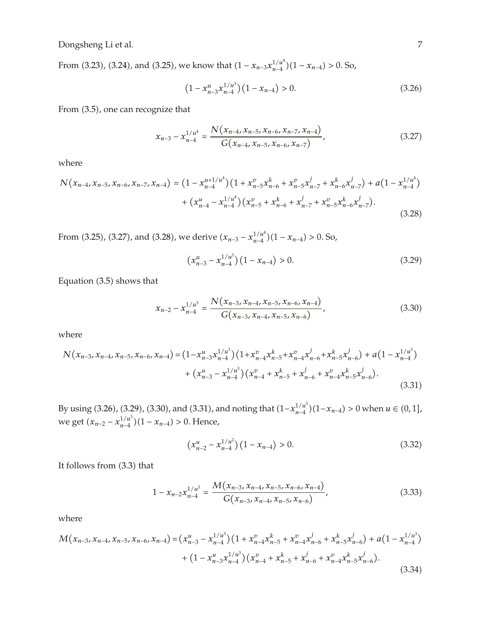From (3.23), (3.24), and (3.25), we know that  $(1 - x_{n-3}x_{n-4}^{1/u^4})(1 - x_{n-4}) > 0$ . So,

$$
(1 - x_{n-3}^u x_{n-4}^{1/u^3})(1 - x_{n-4}) > 0.
$$
 (3.26)

From  $(3.5)$ , one can recognize that

$$
x_{n-3} - x_{n-4}^{1/u^4} = \frac{N(x_{n-4}, x_{n-5}, x_{n-6}, x_{n-7}, x_{n-4})}{G(x_{n-4}, x_{n-5}, x_{n-6}, x_{n-7})},
$$
(3.27)

where

$$
N(x_{n-4}, x_{n-5}, x_{n-6}, x_{n-7}, x_{n-4}) = (1 - x_{n-4}^{u+1/u^4}) (1 + x_{n-5}^v x_{n-6}^k + x_{n-5}^v x_{n-7}^j + x_{n-6}^k x_{n-7}^j) + a (1 - x_{n-4}^{1/u^4}) + (x_{n-4}^u - x_{n-4}^{1/u^4}) (x_{n-5}^v + x_{n-6}^k + x_{n-7}^j + x_{n-5}^v x_{n-6}^k x_{n-7}^j).
$$
\n(3.28)

From (3.25), (3.27), and (3.28), we derive  $(x_{n-3} - x_{n-4}^{1/u^4})(1 - x_{n-4}) > 0$ . So,

$$
\left(x_{n-3}^u - x_{n-4}^{1/u^3}\right)\left(1 - x_{n-4}\right) > 0. \tag{3.29}
$$

Equation  $(3.5)$  shows that

$$
x_{n-2} - x_{n-4}^{1/u^3} = \frac{N(x_{n-3}, x_{n-4}, x_{n-5}, x_{n-6}, x_{n-4})}{G(x_{n-3}, x_{n-4}, x_{n-5}, x_{n-6})},
$$
(3.30)

where

$$
N(x_{n-3}, x_{n-4}, x_{n-5}, x_{n-6}, x_{n-4}) = (1 - x_{n-3}^u x_{n-4}^{1/u^3}) (1 + x_{n-4}^v x_{n-5}^k + x_{n-4}^v x_{n-6}^j + x_{n-5}^k x_{n-6}^j) + a (1 - x_{n-4}^{1/u^3})
$$
  
+ 
$$
(x_{n-3}^u - x_{n-4}^{1/u^3}) (x_{n-4}^v + x_{n-5}^k + x_{n-6}^j + x_{n-4}^v x_{n-5}^k x_{n-6}^j).
$$
(3.31)

By using  $(3.26)$ ,  $(3.29)$ ,  $(3.30)$ , and  $(3.31)$ , and noting that  $(1-x_{n-4}^{1/u^3})(1-x_{n-4}) > 0$  when  $u \in (0,1]$ , *we get* ( $x_{n-2} - x_{n-4}^{1/u^3}$ )(1 −  $x_{n-4}$ ) > 0. Hence,

$$
\left(x_{n-2}^u - x_{n-4}^{1/u^2}\right)\left(1 - x_{n-4}\right) > 0. \tag{3.32}
$$

It follows from  $(3.3)$  that

$$
1 - x_{n-2} x_{n-4}^{1/u^3} = \frac{M(x_{n-3}, x_{n-4}, x_{n-5}, x_{n-6}, x_{n-4})}{G(x_{n-3}, x_{n-4}, x_{n-5}, x_{n-6})},
$$
(3.33)

$$
M(x_{n-3}, x_{n-4}, x_{n-5}, x_{n-6}, x_{n-4}) = (x_{n-3}^{u} - x_{n-4}^{1/u^3}) (1 + x_{n-4}^{v} x_{n-5}^{k} + x_{n-4}^{v} x_{n-6}^{j} + x_{n-5}^{k} x_{n-6}^{j}) + a (1 - x_{n-4}^{1/u^3}) + (1 - x_{n-3}^{u} x_{n-4}^{1/u^3}) (x_{n-4}^{v} + x_{n-5}^{k} + x_{n-6}^{j} + x_{n-4}^{v} x_{n-5}^{k} x_{n-6}^{j}).
$$
\n(3.34)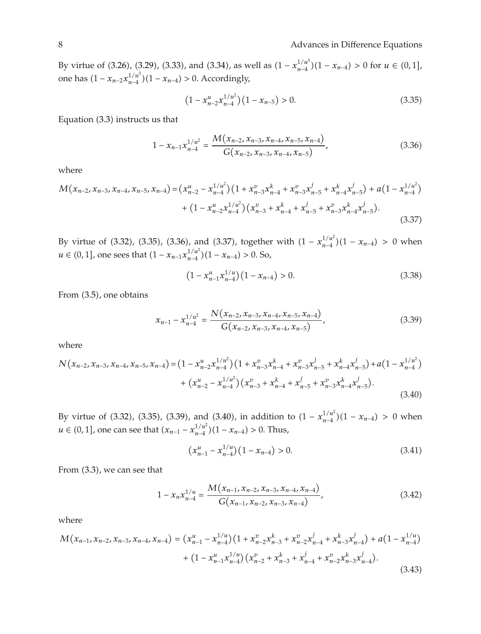By virtue of  $(3.26)$ ,  $(3.29)$ ,  $(3.33)$ , and  $(3.34)$ , as well as  $(1 - x_{n-4}^{1/u^3})(1 - x_{n-4}) > 0$  for  $u \in (0,1]$ , one has  $(1 - x_{n-2}x_{n-4}^{1/u^3})(1 - x_{n-4}) > 0$ . Accordingly,

$$
(1 - x_{n-2}^u x_{n-4}^{1/u^2})(1 - x_{n-5}) > 0.
$$
 (3.35)

Equation  $(3.3)$  instructs us that

$$
1 - x_{n-1} x_{n-4}^{1/u^2} = \frac{M(x_{n-2}, x_{n-3}, x_{n-4}, x_{n-5}, x_{n-4})}{G(x_{n-2}, x_{n-3}, x_{n-4}, x_{n-5})},
$$
(3.36)

where

$$
M(x_{n-2}, x_{n-3}, x_{n-4}, x_{n-5}, x_{n-4}) = (x_{n-2}^{u} - x_{n-4}^{1/u^2})(1 + x_{n-3}^{v} x_{n-4}^{k} + x_{n-3}^{v} x_{n-5}^{j} + x_{n-4}^{k} x_{n-5}^{j}) + a(1 - x_{n-4}^{1/u^2}) + (1 - x_{n-2}^{u} x_{n-4}^{1/u^2})(x_{n-3}^{v} + x_{n-4}^{k} + x_{n-5}^{j} + x_{n-3}^{v} x_{n-4}^{k} x_{n-5}^{j}).
$$
\n(3.37)

By virtue of (3.32), (3.35), (3.36), and (3.37), together with  $(1 - x_{n-4}^{1/u^2})(1 - x_{n-4}) > 0$  when *u* ∈ (0, 1], one sees that  $(1 - x_{n-1}x_{n-4}^{1/u^2})(1 - x_{n-4}) > 0$ . So,

$$
(1 - x_{n-1}^u x_{n-4}^{1/u})(1 - x_{n-4}) > 0. \tag{3.38}
$$

From  $(3.5)$ , one obtains

$$
x_{n-1} - x_{n-4}^{1/u^2} = \frac{N(x_{n-2}, x_{n-3}, x_{n-4}, x_{n-5}, x_{n-4})}{G(x_{n-2}, x_{n-3}, x_{n-4}, x_{n-5})},
$$
(3.39)

where

$$
N(x_{n-2}, x_{n-3}, x_{n-4}, x_{n-5}, x_{n-4}) = (1 - x_{n-2}^{u} x_{n-4}^{1/u^2}) (1 + x_{n-3}^{v} x_{n-4}^k + x_{n-3}^{v} x_{n-5}^j + x_{n-4}^k x_{n-5}^j) + a (1 - x_{n-4}^{1/u^2}) + (x_{n-2}^{u} - x_{n-4}^{1/u^2}) (x_{n-3}^{v} + x_{n-4}^k + x_{n-5}^j + x_{n-3}^{v} x_{n-4}^k x_{n-5}^j).
$$
\n(3.40)

By virtue of (3.32), (3.35), (3.39), and (3.40), in addition to  $(1 - x_{n-4}^{1/u^2})(1 - x_{n-4}) > 0$  when *u* ∈ (0, 1], one can see that  $(x_{n-1} - x_{n-4}^{1/u^2})(1 - x_{n-4}) > 0$ . Thus,

$$
\left(x_{n-1}^u - x_{n-4}^{1/u}\right)\left(1 - x_{n-4}\right) > 0. \tag{3.41}
$$

From  $(3.3)$ , we can see that

$$
1 - x_n x_{n-4}^{1/u} = \frac{M(x_{n-1}, x_{n-2}, x_{n-3}, x_{n-4}, x_{n-4})}{G(x_{n-1}, x_{n-2}, x_{n-3}, x_{n-4})},
$$
(3.42)

$$
M(x_{n-1}, x_{n-2}, x_{n-3}, x_{n-4}, x_{n-4}) = (x_{n-1}^u - x_{n-4}^{1/u})(1 + x_{n-2}^v x_{n-3}^k + x_{n-2}^v x_{n-4}^j + x_{n-3}^k x_{n-4}^j) + a(1 - x_{n-4}^{1/u})
$$
  
+ 
$$
(1 - x_{n-1}^u x_{n-4}^{1/u})(x_{n-2}^v + x_{n-3}^k + x_{n-4}^j + x_{n-2}^v x_{n-3}^k x_{n-4}^j).
$$
(3.43)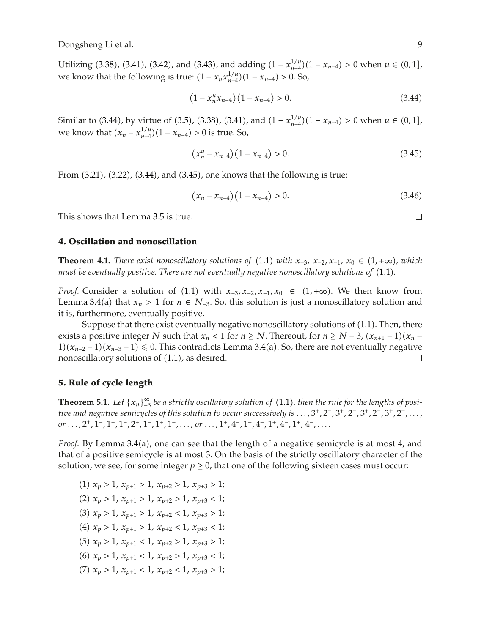Utilizing (3.38), (3.41), (3.42), and (3.43), and adding  $(1 - x_{n-4}^{1/u})(1 - x_{n-4}) > 0$  when *u* ∈ (0, 1], we know that the following is true:  $(1 - x_n x_{n-4}^{1/u})(1 - x_{n-4}) > 0$ . So,

$$
(1 - x_n^u x_{n-4})(1 - x_{n-4}) > 0.
$$
\n(3.44)

Similar to (3.44), by virtue of (3.5), (3.38), (3.41), and  $(1 - x_{n-4}^{1/u})(1 - x_{n-4}) > 0$  when  $u \in (0,1]$ , we know that  $(x_n - x_{n-4}^{1/u})(1 - x_{n-4}) > 0$  is true. So,

$$
(x_n^u - x_{n-4})(1 - x_{n-4}) > 0.
$$
\n(3.45)

From  $(3.21)$ ,  $(3.22)$ ,  $(3.44)$ , and  $(3.45)$ , one knows that the following is true:

$$
(x_n - x_{n-4})(1 - x_{n-4}) > 0.
$$
\n(3.46)

This shows that Lemma 3.5 is true.

#### **4. Oscillation and nonoscillation**

**Theorem 4.1.** *There exist nonoscillatory solutions of* (1.1) *with*  $x_{-3}$ *,*  $x_{-2}$ *,*  $x_{-1}$ *,*  $x_0$  ∈ (1,+∞)*, which must be eventually positive. There are not eventually negative nonoscillatory solutions of* 1.1*.*

*Proof.* Consider a solution of (1.1) with  $x_{-3}$ ,  $x_{-2}$ ,  $x_{-1}$ ,  $x_0 \in (1, +\infty)$ . We then know from Lemma 3.4(a) that  $x_n > 1$  for  $n \in N_{-3}$ . So, this solution is just a nonoscillatory solution and it is, furthermore, eventually positive.

Suppose that there exist eventually negative nonoscillatory solutions of  $(1.1)$ . Then, there exists a positive integer *N* such that  $x_n < 1$  for  $n \ge N$ . Thereout, for  $n \ge N + 3$ ,  $(x_{n+1} - 1)(x_n -$ 1) $(x_{n-2} - 1)(x_{n-3} - 1)$  ≤ 0. This contradicts Lemma 3.4(a). So, there are not eventually negative nonoscillatory solutions of  $(1.1)$ , as desired. □

# **5. Rule of cycle length**

**Theorem 5.1.** Let  $\{x_n\}_{n=3}^{\infty}$  be a strictly oscillatory solution of  $(1.1)$ , then the rule for the lengths of posi*tive and negative semicycles of this solution to occur successively is ...,* 3*,* 2−*,* 3*,* 2−*,* 3*,* 2−*,* 3*,* 2−*,..., or ...*, 2<sup>*+*</sup>, 1<sup>−</sup>, 1<sup>*+*</sup>, 1<sup>−</sup>, 2<sup>*+*</sup>, 1<sup>−</sup>, 1<sup>*+*</sup>, 1<sup>−</sup>, *...*, *or ...*, 1<sup>*+*</sup>, 4<sup>−</sup>, 1<sup>*+*</sup>, 4<sup>−</sup>, 1<sup>*+*</sup>, 4<sup>−</sup>, *...* 

*Proof.* By Lemma 3.4(a), one can see that the length of a negative semicycle is at most 4, and that of a positive semicycle is at most 3. On the basis of the strictly oscillatory character of the solution, we see, for some integer  $p \ge 0$ , that one of the following sixteen cases must occur:

 $(1)$   $x_p > 1$ ,  $x_{p+1} > 1$ ,  $x_{p+2} > 1$ ,  $x_{p+3} > 1$ ;  $(2)$   $x_p > 1, x_{p+1} > 1, x_{p+2} > 1, x_{p+3} < 1;$  $(3)$   $x_p > 1$ ,  $x_{p+1} > 1$ ,  $x_{p+2} < 1$ ,  $x_{p+3} > 1$ ;  $(4)$   $x_p > 1$ ,  $x_{p+1} > 1$ ,  $x_{p+2} < 1$ ,  $x_{p+3} < 1$ ;  $(5)$   $x_p > 1$ ,  $x_{p+1} < 1$ ,  $x_{p+2} > 1$ ,  $x_{p+3} > 1$ ;  $(6)$   $x_p > 1$ ,  $x_{p+1} < 1$ ,  $x_{p+2} > 1$ ,  $x_{p+3} < 1$ ;  $(7)$   $x_p > 1$ ,  $x_{p+1} < 1$ ,  $x_{p+2} < 1$ ,  $x_{p+3} > 1$ ;  $\Box$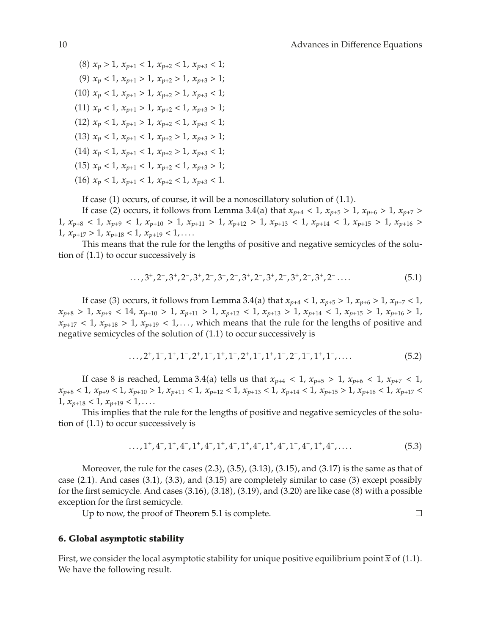$\Box$ 

 $(8)$   $x_p > 1$ ,  $x_{p+1} < 1$ ,  $x_{p+2} < 1$ ,  $x_{p+3} < 1$ ; (9)  $x_p < 1, x_{p+1} > 1, x_{p+2} > 1, x_{p+3} > 1;$  $(10)$   $x_p < 1, x_{p+1} > 1, x_{p+2} > 1, x_{p+3} < 1;$  $(11)$   $x_p < 1$ ,  $x_{p+1} > 1$ ,  $x_{p+2} < 1$ ,  $x_{p+3} > 1$ ;  $(12)$   $x_p < 1$ ,  $x_{p+1} > 1$ ,  $x_{p+2} < 1$ ,  $x_{p+3} < 1$ ;  $(13)$   $x_p < 1$ ,  $x_{p+1} < 1$ ,  $x_{p+2} > 1$ ,  $x_{p+3} > 1$ ;  $(14)$   $x_p < 1$ ,  $x_{p+1} < 1$ ,  $x_{p+2} > 1$ ,  $x_{p+3} < 1$ ;  $(15)$   $x_p < 1$ ,  $x_{p+1} < 1$ ,  $x_{p+2} < 1$ ,  $x_{p+3} > 1$ ;  $(16)$   $x_p < 1$ ,  $x_{p+1} < 1$ ,  $x_{p+2} < 1$ ,  $x_{p+3} < 1$ .

If case  $(1)$  occurs, of course, it will be a nonoscillatory solution of  $(1.1)$ .

If case (2) occurs, it follows from Lemma 3.4(a) that  $x_{p+4} < 1$ ,  $x_{p+5} > 1$ ,  $x_{p+6} > 1$ ,  $x_{p+7} >$  $1, x_{p+8} < 1, x_{p+9} < 1, x_{p+10} > 1, x_{p+11} > 1, x_{p+12} > 1, x_{p+13} < 1, x_{p+14} < 1, x_{p+15} > 1, x_{p+16} > 1$  $1, x_{p+17} > 1, x_{p+18} < 1, x_{p+19} < 1, \ldots$ 

This means that the rule for the lengths of positive and negative semicycles of the solution of  $(1.1)$  to occur successively is

$$
\ldots, 3^+, 2^-, 3^+, 2^-, 3^+, 2^-, 3^+, 2^-, 3^+, 2^-, 3^+, 2^-, 3^+, 2^-, 3^+, 2^-, \ldots \tag{5.1}
$$

If case (3) occurs, it follows from Lemma 3.4(a) that  $x_{p+4} < 1$ ,  $x_{p+5} > 1$ ,  $x_{p+6} > 1$ ,  $x_{p+7} < 1$ ,  $x_{p+8} > 1$ ,  $x_{p+9} < 14$ ,  $x_{p+10} > 1$ ,  $x_{p+11} > 1$ ,  $x_{p+12} < 1$ ,  $x_{p+13} > 1$ ,  $x_{p+14} < 1$ ,  $x_{p+15} > 1$ ,  $x_{p+16} > 1$ ,  $x_{p+17}$  < 1,  $x_{p+18}$  > 1,  $x_{p+19}$  < 1,..., which means that the rule for the lengths of positive and negative semicycles of the solution of  $(1.1)$  to occur successively is

$$
\ldots, 2^+, 1^-, 1^+, 1^-, 2^+, 1^-, 1^+, 1^-, 2^+, 1^-, 1^+, 1^-, 2^+, 1^-, 1^+, 1^-, \ldots \tag{5.2}
$$

If case 8 is reached, Lemma 3.4(a) tells us that  $x_{p+4} < 1$ ,  $x_{p+5} > 1$ ,  $x_{p+6} < 1$ ,  $x_{p+7} < 1$ ,  $x_{p+8}$  < 1,  $x_{p+9}$  < 1,  $x_{p+10}$  > 1,  $x_{p+11}$  < 1,  $x_{p+12}$  < 1,  $x_{p+13}$  < 1,  $x_{p+14}$  < 1,  $x_{p+15}$  > 1,  $x_{p+16}$  < 1,  $x_{p+17}$  <  $1, x_{p+18} < 1, x_{p+19} < 1, \ldots$ 

This implies that the rule for the lengths of positive and negative semicycles of the solution of  $(1.1)$  to occur successively is

$$
\ldots, 1^+, 4^-, 1^+, 4^-, 1^+, 4^-, 1^+, 4^-, 1^+, 4^-, 1^+, 4^-, 1^+, 4^-, \ldots \tag{5.3}
$$

Moreover, the rule for the cases  $(2.3)$ ,  $(3.5)$ ,  $(3.13)$ ,  $(3.15)$ , and  $(3.17)$  is the same as that of case  $(2.1)$ . And cases  $(3.1)$ ,  $(3.3)$ , and  $(3.15)$  are completely similar to case  $(3)$  except possibly for the first semicycle. And cases  $(3.16)$ ,  $(3.18)$ ,  $(3.19)$ , and  $(3.20)$  are like case  $(8)$  with a possible exception for the first semicycle.

Up to now, the proof of Theorem 5.1 is complete.

# **6. Global asymptotic stability**

First, we consider the local asymptotic stability for unique positive equilibrium point  $\bar{x}$  of (1.1). We have the following result.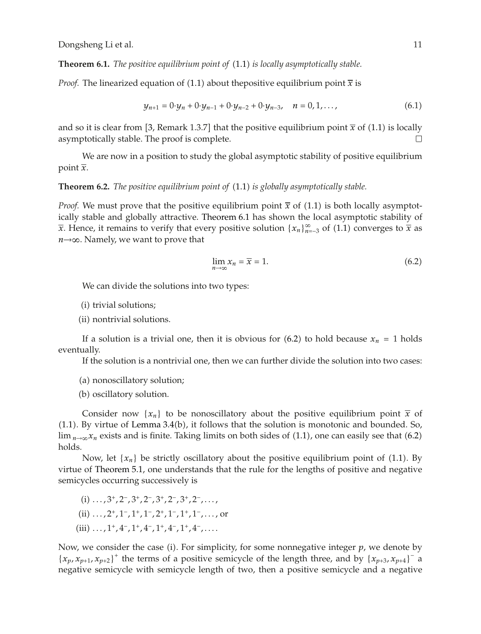**Theorem 6.1.** *The positive equilibrium point of* 1.1 *is locally asymptotically stable.*

*Proof.* The linearized equation of (1.1) about the positive equilibrium point  $\bar{x}$  is

$$
y_{n+1} = 0 \cdot y_n + 0 \cdot y_{n-1} + 0 \cdot y_{n-2} + 0 \cdot y_{n-3}, \quad n = 0, 1, ..., \tag{6.1}
$$

and so it is clear from [3, Remark 1.3.7] that the positive equilibrium point  $\bar{x}$  of (1.1) is locally asymptotically stable. The proof is complete.  $\Box$ 

We are now in a position to study the global asymptotic stability of positive equilibrium point  $\overline{x}$ .

**Theorem 6.2.** *The positive equilibrium point of* (1.1) *is globally asymptotically stable.* 

*Proof.* We must prove that the positive equilibrium point  $\bar{x}$  of (1.1) is both locally asymptotically stable and globally attractive. Theorem 6.1 has shown the local asymptotic stability of *x*. Hence, it remains to verify that every positive solution  $\{x_n\}_{n=3}^{\infty}$  of (1.1) converges to  $\overline{x}$  as *n*→∞. Namely, we want to prove that

$$
\lim_{n \to \infty} x_n = \overline{x} = 1. \tag{6.2}
$$

We can divide the solutions into two types:

(i) trivial solutions;

(ii) nontrivial solutions.

If a solution is a trivial one, then it is obvious for  $(6.2)$  to hold because  $x_n = 1$  holds eventually.

If the solution is a nontrivial one, then we can further divide the solution into two cases:

(a) nonoscillatory solution;

(b) oscillatory solution.

Consider now  $\{x_n\}$  to be nonoscillatory about the positive equilibrium point  $\bar{x}$  of  $(1.1)$ . By virtue of Lemma 3.4 $(b)$ , it follows that the solution is monotonic and bounded. So,  $\lim_{n\to\infty}x_n$  exists and is finite. Taking limits on both sides of (1.1), one can easily see that (6.2) holds.

Now, let  $\{x_n\}$  be strictly oscillatory about the positive equilibrium point of (1.1). By virtue of Theorem 5.1, one understands that the rule for the lengths of positive and negative semicycles occurring successively is

i *...,* 3*,* 2−*,* 3*,* 2−*,* 3*,* 2−*,* 3*,* 2−*,...,* ii *...,* 2*,* 1−*,* 1*,* 1−*,* 2*,* 1−*,* 1*,* 1−*,...,* or iii *...,* 1*,* 4−*,* 1*,* 4−*,* 1*,* 4−*,* 1*,* 4−*,....*

Now, we consider the case (i). For simplicity, for some nonnegative integer  $p$ , we denote by  ${x_p, x_{p+1}, x_{p+2}}^{\dagger}$  the terms of a positive semicycle of the length three, and by  ${x_{p+3}, x_{p+4}}^{\dagger}$  a negative semicycle with semicycle length of two, then a positive semicycle and a negative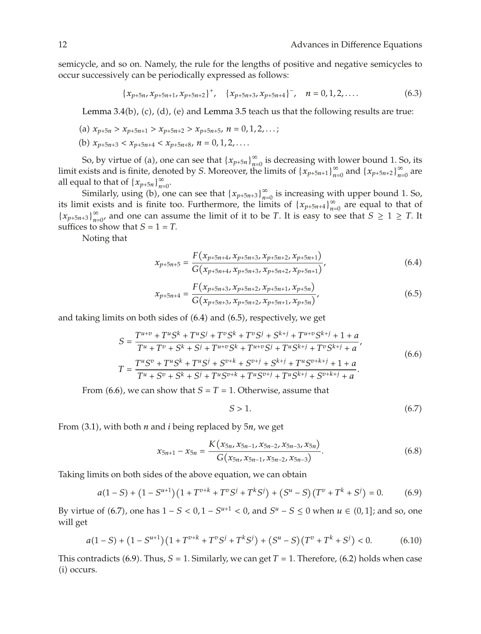semicycle, and so on. Namely, the rule for the lengths of positive and negative semicycles to occur successively can be periodically expressed as follows:

$$
\{x_{p+5n}, x_{p+5n+1}, x_{p+5n+2}\}^+, \quad \{x_{p+5n+3}, x_{p+5n+4}\}^-, \quad n = 0, 1, 2, \dots
$$
 (6.3)

Lemma 3.4(b), (c), (d), (e) and Lemma 3.5 teach us that the following results are true:

(a) 
$$
x_{p+5n} > x_{p+5n+1} > x_{p+5n+2} > x_{p+5n+5}, n = 0, 1, 2, ...;
$$

(b) 
$$
x_{p+5n+3} < x_{p+5n+4} < x_{p+5n+8}, \, n = 0, 1, 2, \ldots
$$

So, by virtue of (a), one can see that  $\{x_{p+5n}\}_{n=0}^{\infty}$  is decreasing with lower bound 1. So, its limit exists and is finite, denoted by *S*. Moreover, the limits of  $\{x_{p+5n+1}\}_{n=0}^{\infty}$  and  $\{x_{p+5n+2}\}_{n=0}^{\infty}$  are all equal to that of  $\{x_{p+5n}\}_{n=0}^{\infty}$ .

Similarly, using (b), one can see that  $\{x_{p+5n+3}\}_{n=0}^{\infty}$  is increasing with upper bound 1. So, its limit exists and is finite too. Furthermore, the limits of  $\{x_{p+5n+4}\}_{n=0}^{\infty}$  are equal to that of  ${x_{p+5n+3}}_{n=0}^{\infty}$  and one can assume the limit of it to be *T*. It is easy to see that  $S \ge 1 \ge T$ . It suffices to show that  $S = 1 = T$ .

Noting that

$$
x_{p+5n+5} = \frac{F(x_{p+5n+4}, x_{p+5n+3}, x_{p+5n+2}, x_{p+5n+1})}{G(x_{p+5n+4}, x_{p+5n+3}, x_{p+5n+2}, x_{p+5n+1})},
$$
(6.4)

$$
x_{p+5n+4} = \frac{F(x_{p+5n+3}, x_{p+5n+2}, x_{p+5n+1}, x_{p+5n})}{G(x_{p+5n+3}, x_{p+5n+2}, x_{p+5n+1}, x_{p+5n})},
$$
(6.5)

and taking limits on both sides of  $(6.4)$  and  $(6.5)$ , respectively, we get

$$
S = \frac{T^{u+v} + T^u S^k + T^u S^j + T^v S^k + T^v S^j + S^{k+j} + T^{u+v} S^{k+j} + 1 + a}{T^u + T^v + S^k + S^j + T^{u+v} S^k + T^{u+v} S^j + T^u S^{k+j} + T^v S^{k+j} + a'}
$$
  
\n
$$
T = \frac{T^u S^v + T^u S^k + T^u S^j + S^{v+k} + S^{v+j} + S^{k+j} + T^u S^{v+k+j} + 1 + a}{T^u + S^v + S^k + S^j + T^u S^{v+k} + T^u S^{v+j} + T^u S^{k+j} + S^{v+k+j} + a}.
$$
\n(6.6)

From (6.6), we can show that  $S = T = 1$ . Otherwise, assume that

$$
S > 1. \tag{6.7}
$$

From 3.1, with both *n* and *i* being replaced by 5*n*, we get

$$
x_{5n+1} - x_{5n} = \frac{K(x_{5n}, x_{5n-1}, x_{5n-2}, x_{5n-3}, x_{5n})}{G(x_{5n}, x_{5n-1}, x_{5n-2}, x_{5n-3})}.
$$
(6.8)

Taking limits on both sides of the above equation, we can obtain

$$
a(1-S) + (1 - S^{u+1})(1 + T^{v+k} + T^v S^j + T^k S^j) + (S^u - S)(T^v + T^k + S^j) = 0.
$$
 (6.9)

By virtue of (6.7), one has  $1 - S < 0$ ,  $1 - S^{u+1} < 0$ , and  $S^u - S \le 0$  when  $u \in (0, 1]$ ; and so, one will get

$$
a(1-S) + (1 - S^{u+1})(1 + T^{v+k} + T^v S^j + T^k S^j) + (S^u - S)(T^v + T^k + S^j) < 0. \tag{6.10}
$$

This contradicts (6.9). Thus,  $S = 1$ . Similarly, we can get  $T = 1$ . Therefore, (6.2) holds when case  $(i)$  occurs.